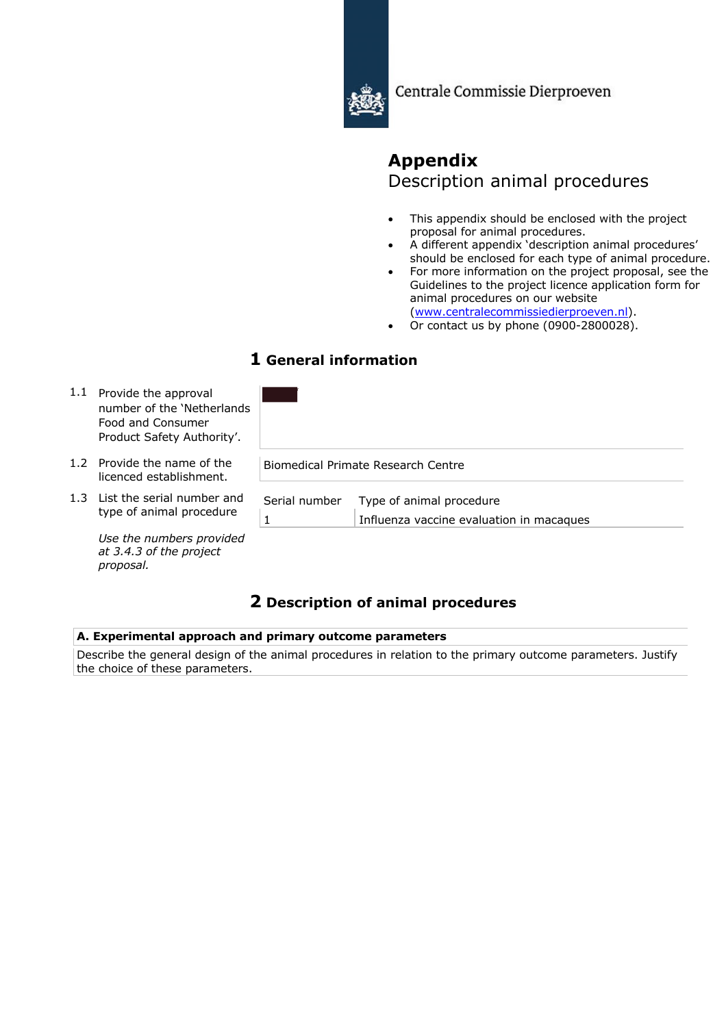

Centrale Commissie Dierproeven

# **Appendix** Description animal procedures

- This appendix should be enclosed with the project proposal for animal procedures.
- A different appendix 'description animal procedures' should be enclosed for each type of animal procedure.
- For more information on the project proposal, see the Guidelines to the project licence application form for animal procedures on our website (www.centralecommissiedierproeven.nl).
- Or contact us by phone (0900-2800028).

# **1 General information**

| 1.1 | Provide the approval<br>number of the 'Netherlands'<br>Food and Consumer<br>Product Safety Authority'. |               |                                                                      |
|-----|--------------------------------------------------------------------------------------------------------|---------------|----------------------------------------------------------------------|
|     | 1.2 Provide the name of the<br>licenced establishment.                                                 |               | Biomedical Primate Research Centre                                   |
|     | 1.3 List the serial number and<br>type of animal procedure                                             | Serial number | Type of animal procedure<br>Influenza vaccine evaluation in macaques |
|     | Use the numbers provided<br>at 3.4.3 of the project                                                    |               |                                                                      |

# **2 Description of animal procedures**

# **A. Experimental approach and primary outcome parameters**

*proposal.*

Describe the general design of the animal procedures in relation to the primary outcome parameters. Justify the choice of these parameters.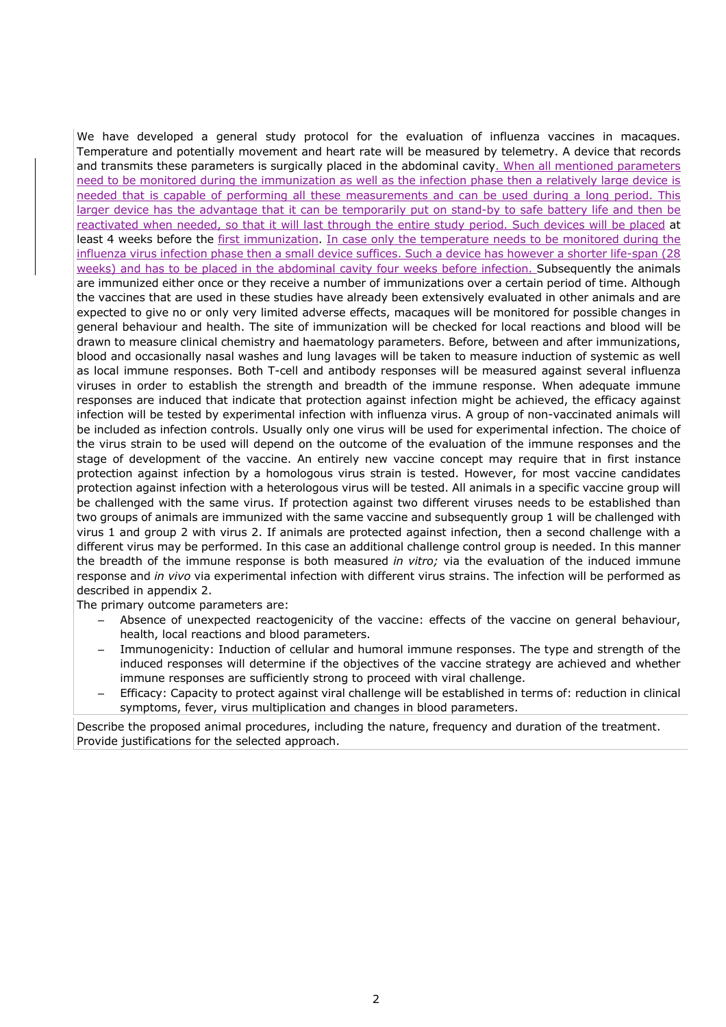We have developed a general study protocol for the evaluation of influenza vaccines in macaques. Temperature and potentially movement and heart rate will be measured by telemetry. A device that records and transmits these parameters is surgically placed in the abdominal cavity. When all mentioned parameters need to be monitored during the immunization as well as the infection phase then a relatively large device is needed that is capable of performing all these measurements and can be used during a long period. This larger device has the advantage that it can be temporarily put on stand-by to safe battery life and then be reactivated when needed, so that it will last through the entire study period. Such devices will be placed at least 4 weeks before the first immunization. In case only the temperature needs to be monitored during the influenza virus infection phase then a small device suffices. Such a device has however a shorter life-span (28 weeks) and has to be placed in the abdominal cavity four weeks before infection. Subsequently the animals are immunized either once or they receive a number of immunizations over a certain period of time. Although the vaccines that are used in these studies have already been extensively evaluated in other animals and are expected to give no or only very limited adverse effects, macaques will be monitored for possible changes in general behaviour and health. The site of immunization will be checked for local reactions and blood will be drawn to measure clinical chemistry and haematology parameters. Before, between and after immunizations, blood and occasionally nasal washes and lung lavages will be taken to measure induction of systemic as well as local immune responses. Both T-cell and antibody responses will be measured against several influenza viruses in order to establish the strength and breadth of the immune response. When adequate immune responses are induced that indicate that protection against infection might be achieved, the efficacy against infection will be tested by experimental infection with influenza virus. A group of non-vaccinated animals will be included as infection controls. Usually only one virus will be used for experimental infection. The choice of the virus strain to be used will depend on the outcome of the evaluation of the immune responses and the stage of development of the vaccine. An entirely new vaccine concept may require that in first instance protection against infection by a homologous virus strain is tested. However, for most vaccine candidates protection against infection with a heterologous virus will be tested. All animals in a specific vaccine group will be challenged with the same virus. If protection against two different viruses needs to be established than two groups of animals are immunized with the same vaccine and subsequently group 1 will be challenged with virus 1 and group 2 with virus 2. If animals are protected against infection, then a second challenge with a different virus may be performed. In this case an additional challenge control group is needed. In this manner the breadth of the immune response is both measured *in vitro;* via the evaluation of the induced immune response and *in vivo* via experimental infection with different virus strains. The infection will be performed as described in appendix 2.

The primary outcome parameters are:

- Absence of unexpected reactogenicity of the vaccine: effects of the vaccine on general behaviour, health, local reactions and blood parameters.
- Immunogenicity: Induction of cellular and humoral immune responses. The type and strength of the induced responses will determine if the objectives of the vaccine strategy are achieved and whether immune responses are sufficiently strong to proceed with viral challenge.
- Efficacy: Capacity to protect against viral challenge will be established in terms of: reduction in clinical symptoms, fever, virus multiplication and changes in blood parameters.

Describe the proposed animal procedures, including the nature, frequency and duration of the treatment. Provide justifications for the selected approach.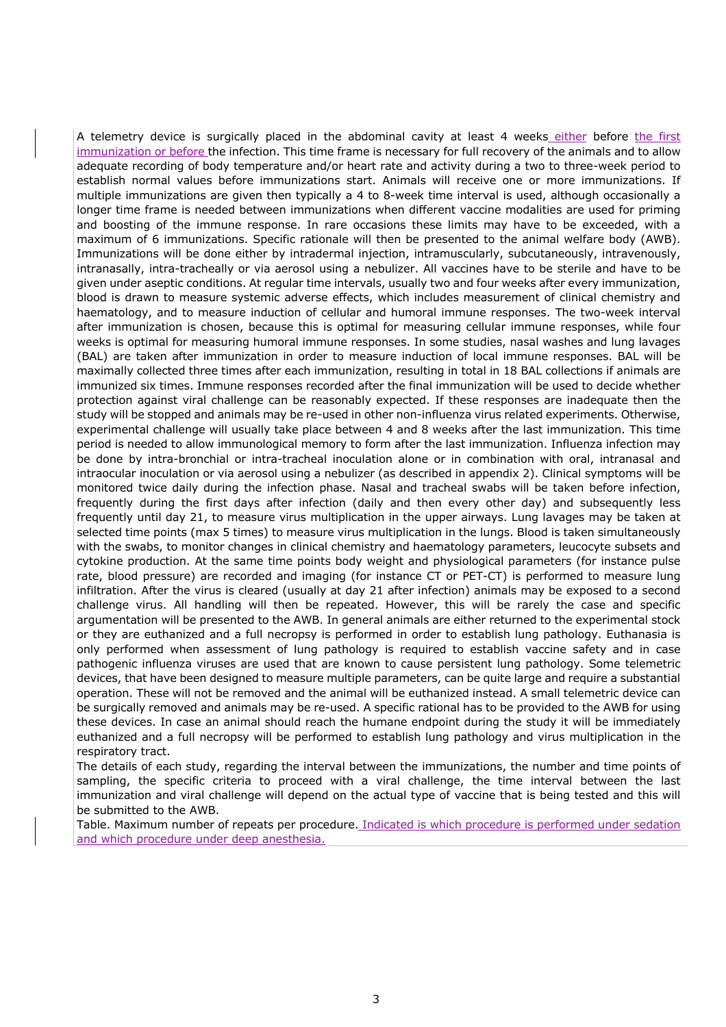A telemetry device is surgically placed in the abdominal cavity at least 4 weeks either before the first immunization or before the infection. This time frame is necessary for full recovery of the animals and to allow adequate recording of body temperature and/or heart rate and activity during a two to three-week period to establish normal values before immunizations start. Animals will receive one or more immunizations. If multiple immunizations are given then typically a 4 to 8-week time interval is used, although occasionally a longer time frame is needed between immunizations when different vaccine modalities are used for priming and boosting of the immune response. In rare occasions these limits may have to be exceeded, with a maximum of 6 immunizations. Specific rationale will then be presented to the animal welfare body (AWB). Immunizations will be done either by intradermal injection, intramuscularly, subcutaneously, intravenously, intranasally, intra-tracheally or via aerosol using a nebulizer. All vaccines have to be sterile and have to be given under aseptic conditions. At regular time intervals, usually two and four weeks after every immunization, blood is drawn to measure systemic adverse effects, which includes measurement of clinical chemistry and haematology, and to measure induction of cellular and humoral immune responses. The two-week interval after immunization is chosen, because this is optimal for measuring cellular immune responses, while four weeks is optimal for measuring humoral immune responses. In some studies, nasal washes and lung lavages (BAL) are taken after immunization in order to measure induction of local immune responses. BAL will be maximally collected three times after each immunization, resulting in total in 18 BAL collections if animals are immunized six times. Immune responses recorded after the final immunization will be used to decide whether protection against viral challenge can be reasonably expected. If these responses are inadequate then the study will be stopped and animals may be re-used in other non-influenza virus related experiments. Otherwise, experimental challenge will usually take place between 4 and 8 weeks after the last immunization. This time period is needed to allow immunological memory to form after the last immunization. Influenza infection may be done by intra-bronchial or intra-tracheal inoculation alone or in combination with oral, intranasal and intraocular inoculation or via aerosol using a nebulizer (as described in appendix 2). Clinical symptoms will be monitored twice daily during the infection phase. Nasal and tracheal swabs will be taken before infection, frequently during the first days after infection (daily and then every other day) and subsequently less frequently until day 21, to measure virus multiplication in the upper airways. Lung lavages may be taken at selected time points (max 5 times) to measure virus multiplication in the lungs. Blood is taken simultaneously with the swabs, to monitor changes in clinical chemistry and haematology parameters, leucocyte subsets and cytokine production. At the same time points body weight and physiological parameters (for instance pulse rate, blood pressure) are recorded and imaging (for instance CT or PET-CT) is performed to measure lung infiltration. After the virus is cleared (usually at day 21 after infection) animals may be exposed to a second challenge virus. All handling will then be repeated. However, this will be rarely the case and specific argumentation will be presented to the AWB. In general animals are either returned to the experimental stock or they are euthanized and a full necropsy is performed in order to establish lung pathology. Euthanasia is only performed when assessment of lung pathology is required to establish vaccine safety and in case pathogenic influenza viruses are used that are known to cause persistent lung pathology. Some telemetric devices, that have been designed to measure multiple parameters, can be quite large and require a substantial operation. These will not be removed and the animal will be euthanized instead. A small telemetric device can be surgically removed and animals may be re-used. A specific rational has to be provided to the AWB for using these devices. In case an animal should reach the humane endpoint during the study it will be immediately euthanized and a full necropsy will be performed to establish lung pathology and virus multiplication in the respiratory tract.

The details of each study, regarding the interval between the immunizations, the number and time points of sampling, the specific criteria to proceed with a viral challenge, the time interval between the last immunization and viral challenge will depend on the actual type of vaccine that is being tested and this will be submitted to the AWB.

Table. Maximum number of repeats per procedure. Indicated is which procedure is performed under sedation and which procedure under deep anesthesia.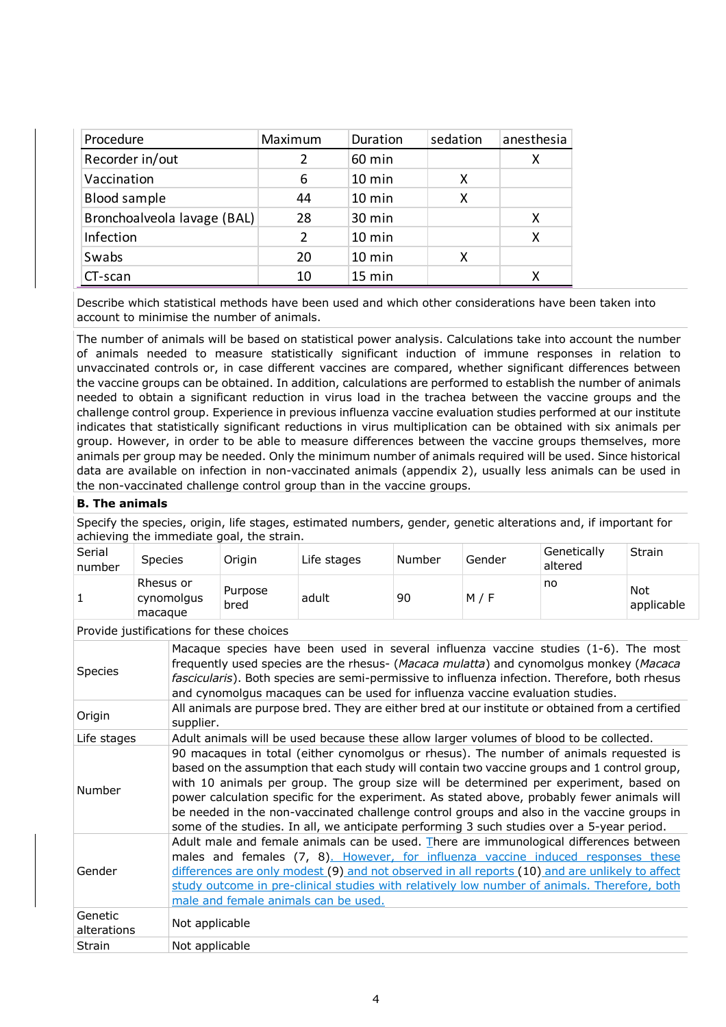| Procedure                   | Maximum | Duration         | sedation | anesthesia |
|-----------------------------|---------|------------------|----------|------------|
| Recorder in/out             | 2       | 60 min           |          | x          |
| Vaccination                 | 6       | $10 \text{ min}$ | х        |            |
| <b>Blood sample</b>         | 44      | 10 min           | х        |            |
| Bronchoalveola lavage (BAL) | 28      | 30 min           |          | x          |
| Infection                   | 2       | 10 min           |          | Χ          |
| Swabs                       | 20      | 10 min           | х        |            |
| CT-scan                     | 10      | 15 min           |          |            |

Describe which statistical methods have been used and which other considerations have been taken into account to minimise the number of animals.

The number of animals will be based on statistical power analysis. Calculations take into account the number of animals needed to measure statistically significant induction of immune responses in relation to unvaccinated controls or, in case different vaccines are compared, whether significant differences between the vaccine groups can be obtained. In addition, calculations are performed to establish the number of animals needed to obtain a significant reduction in virus load in the trachea between the vaccine groups and the challenge control group. Experience in previous influenza vaccine evaluation studies performed at our institute indicates that statistically significant reductions in virus multiplication can be obtained with six animals per group. However, in order to be able to measure differences between the vaccine groups themselves, more animals per group may be needed. Only the minimum number of animals required will be used. Since historical data are available on infection in non-vaccinated animals (appendix 2), usually less animals can be used in the non-vaccinated challenge control group than in the vaccine groups.

## **B. The animals**

Specify the species, origin, life stages, estimated numbers, gender, genetic alterations and, if important for achieving the immediate goal, the strain.

| Rhesus or<br>no<br><b>Not</b><br>Purpose<br>adult<br>M / F<br>90<br>cynomolgus<br>bred | Serial<br>number | <b>Species</b> | Origin | Life stages | Number | Gender | Genetically<br>altered | Strain     |
|----------------------------------------------------------------------------------------|------------------|----------------|--------|-------------|--------|--------|------------------------|------------|
|                                                                                        |                  | macague        |        |             |        |        |                        | applicable |

Provide justifications for these choices

| Species                | Macaque species have been used in several influenza vaccine studies (1-6). The most<br>frequently used species are the rhesus- (Macaca mulatta) and cynomolgus monkey (Macaca<br>fascicularis). Both species are semi-permissive to influenza infection. Therefore, both rhesus<br>and cynomolgus macaques can be used for influenza vaccine evaluation studies.                                                                                                                                                                                                           |
|------------------------|----------------------------------------------------------------------------------------------------------------------------------------------------------------------------------------------------------------------------------------------------------------------------------------------------------------------------------------------------------------------------------------------------------------------------------------------------------------------------------------------------------------------------------------------------------------------------|
| Origin                 | All animals are purpose bred. They are either bred at our institute or obtained from a certified<br>supplier.                                                                                                                                                                                                                                                                                                                                                                                                                                                              |
| Life stages            | Adult animals will be used because these allow larger volumes of blood to be collected.                                                                                                                                                                                                                                                                                                                                                                                                                                                                                    |
| Number                 | 90 macaques in total (either cynomolgus or rhesus). The number of animals requested is<br>based on the assumption that each study will contain two vaccine groups and 1 control group,<br>with 10 animals per group. The group size will be determined per experiment, based on<br>power calculation specific for the experiment. As stated above, probably fewer animals will<br>be needed in the non-vaccinated challenge control groups and also in the vaccine groups in<br>some of the studies. In all, we anticipate performing 3 such studies over a 5-year period. |
| Gender                 | Adult male and female animals can be used. There are immunological differences between<br>males and females (7, 8). However, for influenza vaccine induced responses these<br>differences are only modest (9) and not observed in all reports (10) and are unlikely to affect<br>study outcome in pre-clinical studies with relatively low number of animals. Therefore, both<br>male and female animals can be used.                                                                                                                                                      |
| Genetic<br>alterations | Not applicable                                                                                                                                                                                                                                                                                                                                                                                                                                                                                                                                                             |
| Strain                 | Not applicable                                                                                                                                                                                                                                                                                                                                                                                                                                                                                                                                                             |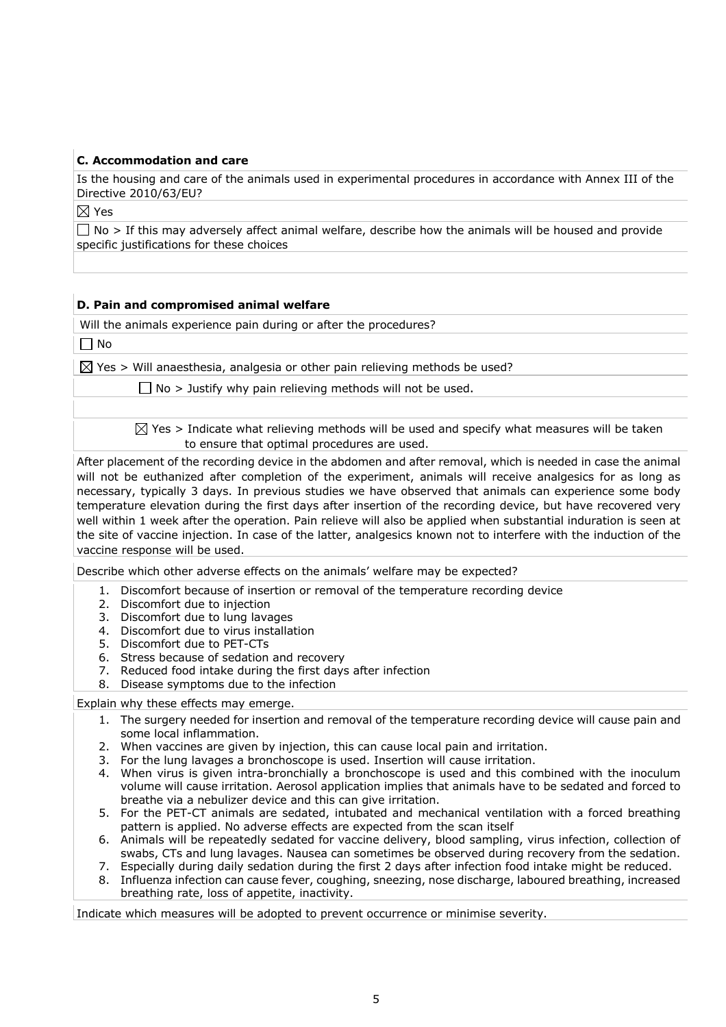#### **C. Accommodation and care**

Is the housing and care of the animals used in experimental procedures in accordance with Annex III of the Directive 2010/63/EU?

 $\boxtimes$  Yes

 $\Box$  No > If this may adversely affect animal welfare, describe how the animals will be housed and provide specific justifications for these choices

#### **D. Pain and compromised animal welfare**

Will the animals experience pain during or after the procedures?

 $\Box$  No

 $\boxtimes$  Yes > Will anaesthesia, analgesia or other pain relieving methods be used?

 $\Box$  No > Justify why pain relieving methods will not be used.

 $\boxtimes$  Yes > Indicate what relieving methods will be used and specify what measures will be taken to ensure that optimal procedures are used.

After placement of the recording device in the abdomen and after removal, which is needed in case the animal will not be euthanized after completion of the experiment, animals will receive analgesics for as long as necessary, typically 3 days. In previous studies we have observed that animals can experience some body temperature elevation during the first days after insertion of the recording device, but have recovered very well within 1 week after the operation. Pain relieve will also be applied when substantial induration is seen at the site of vaccine injection. In case of the latter, analgesics known not to interfere with the induction of the vaccine response will be used.

Describe which other adverse effects on the animals' welfare may be expected?

- 1. Discomfort because of insertion or removal of the temperature recording device
- 2. Discomfort due to injection
- 3. Discomfort due to lung lavages
- 4. Discomfort due to virus installation
- 5. Discomfort due to PET-CTs
- 6. Stress because of sedation and recovery
- 7. Reduced food intake during the first days after infection
- 8. Disease symptoms due to the infection

Explain why these effects may emerge.

- 1. The surgery needed for insertion and removal of the temperature recording device will cause pain and some local inflammation.
- 2. When vaccines are given by injection, this can cause local pain and irritation.
- 3. For the lung lavages a bronchoscope is used. Insertion will cause irritation.
- 4. When virus is given intra-bronchially a bronchoscope is used and this combined with the inoculum volume will cause irritation. Aerosol application implies that animals have to be sedated and forced to breathe via a nebulizer device and this can give irritation.
- 5. For the PET-CT animals are sedated, intubated and mechanical ventilation with a forced breathing pattern is applied. No adverse effects are expected from the scan itself
- 6. Animals will be repeatedly sedated for vaccine delivery, blood sampling, virus infection, collection of swabs, CTs and lung lavages. Nausea can sometimes be observed during recovery from the sedation.

7. Especially during daily sedation during the first 2 days after infection food intake might be reduced.

8. Influenza infection can cause fever, coughing, sneezing, nose discharge, laboured breathing, increased breathing rate, loss of appetite, inactivity.

Indicate which measures will be adopted to prevent occurrence or minimise severity.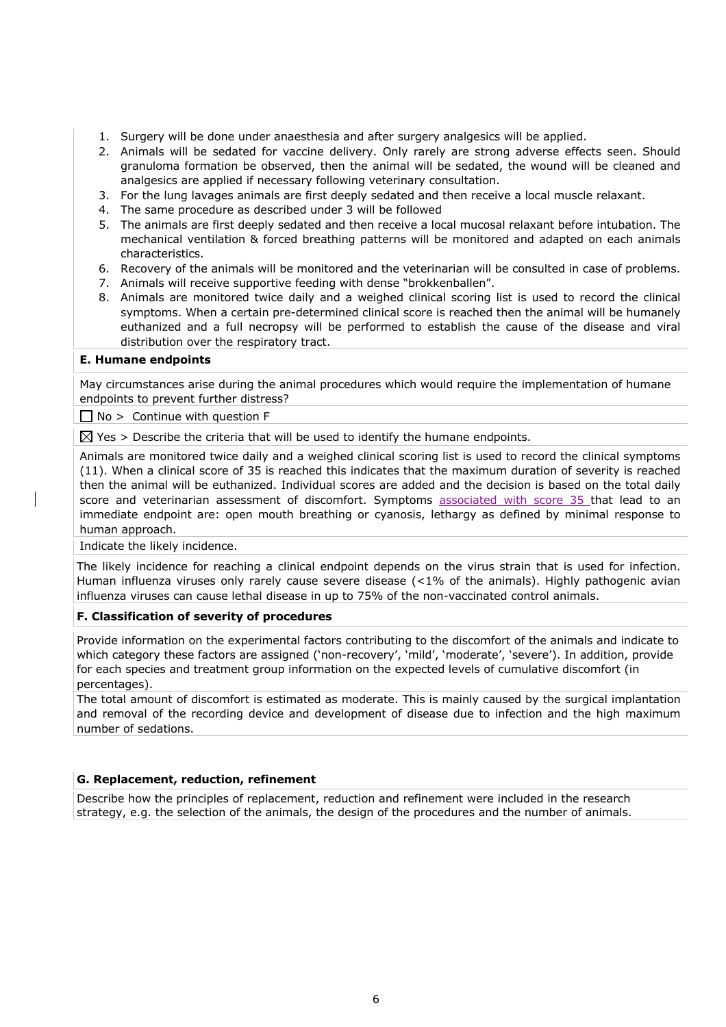- 1. Surgery will be done under anaesthesia and after surgery analgesics will be applied.
- 2. Animals will be sedated for vaccine delivery. Only rarely are strong adverse effects seen. Should granuloma formation be observed, then the animal will be sedated, the wound will be cleaned and analgesics are applied if necessary following veterinary consultation.
- 3. For the lung lavages animals are first deeply sedated and then receive a local muscle relaxant.
- 4. The same procedure as described under 3 will be followed
- 5. The animals are first deeply sedated and then receive a local mucosal relaxant before intubation. The mechanical ventilation & forced breathing patterns will be monitored and adapted on each animals characteristics.
- 6. Recovery of the animals will be monitored and the veterinarian will be consulted in case of problems.
- 7. Animals will receive supportive feeding with dense "brokkenballen".
- 8. Animals are monitored twice daily and a weighed clinical scoring list is used to record the clinical symptoms. When a certain pre-determined clinical score is reached then the animal will be humanely euthanized and a full necropsy will be performed to establish the cause of the disease and viral distribution over the respiratory tract.

#### **E. Humane endpoints**

May circumstances arise during the animal procedures which would require the implementation of humane endpoints to prevent further distress?

 $\Box$  No > Continue with question F

 $\boxtimes$  Yes > Describe the criteria that will be used to identify the humane endpoints.

Animals are monitored twice daily and a weighed clinical scoring list is used to record the clinical symptoms (11). When a clinical score of 35 is reached this indicates that the maximum duration of severity is reached then the animal will be euthanized. Individual scores are added and the decision is based on the total daily score and veterinarian assessment of discomfort. Symptoms associated with score 35 that lead to an immediate endpoint are: open mouth breathing or cyanosis, lethargy as defined by minimal response to human approach.

#### Indicate the likely incidence.

The likely incidence for reaching a clinical endpoint depends on the virus strain that is used for infection. Human influenza viruses only rarely cause severe disease (<1% of the animals). Highly pathogenic avian influenza viruses can cause lethal disease in up to 75% of the non-vaccinated control animals.

## **F. Classification of severity of procedures**

Provide information on the experimental factors contributing to the discomfort of the animals and indicate to which category these factors are assigned ('non-recovery', 'mild', 'moderate', 'severe'). In addition, provide for each species and treatment group information on the expected levels of cumulative discomfort (in percentages).

The total amount of discomfort is estimated as moderate. This is mainly caused by the surgical implantation and removal of the recording device and development of disease due to infection and the high maximum number of sedations.

## **G. Replacement, reduction, refinement**

Describe how the principles of replacement, reduction and refinement were included in the research strategy, e.g. the selection of the animals, the design of the procedures and the number of animals.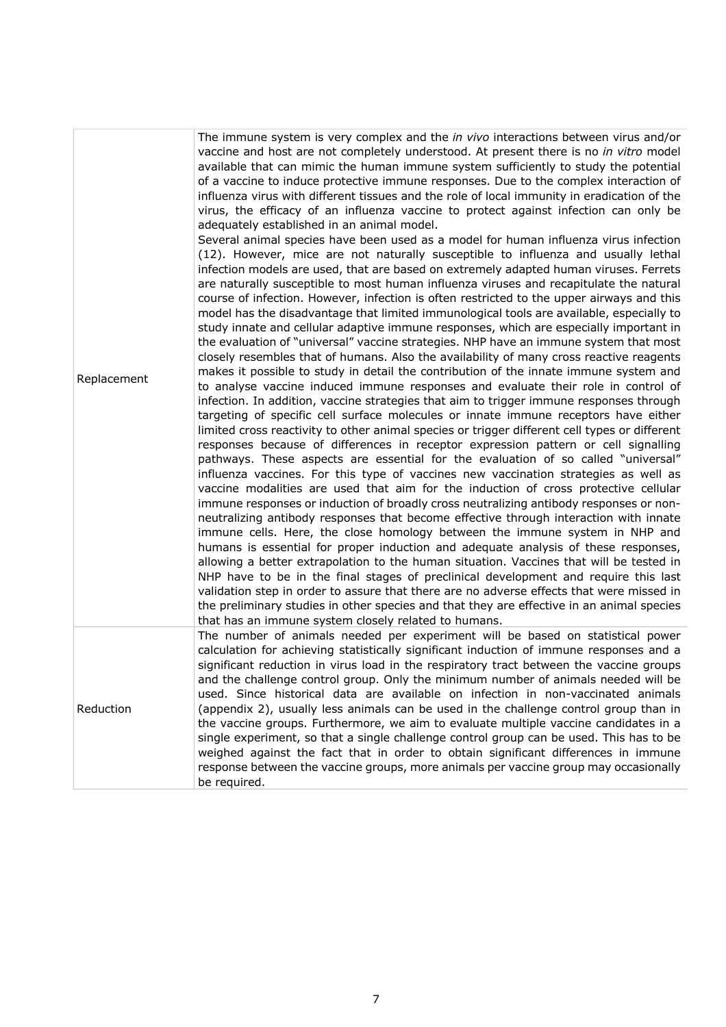| Replacement | The immune system is very complex and the in vivo interactions between virus and/or<br>vaccine and host are not completely understood. At present there is no in vitro model<br>available that can mimic the human immune system sufficiently to study the potential<br>of a vaccine to induce protective immune responses. Due to the complex interaction of<br>influenza virus with different tissues and the role of local immunity in eradication of the<br>virus, the efficacy of an influenza vaccine to protect against infection can only be<br>adequately established in an animal model.<br>Several animal species have been used as a model for human influenza virus infection<br>(12). However, mice are not naturally susceptible to influenza and usually lethal<br>infection models are used, that are based on extremely adapted human viruses. Ferrets<br>are naturally susceptible to most human influenza viruses and recapitulate the natural<br>course of infection. However, infection is often restricted to the upper airways and this<br>model has the disadvantage that limited immunological tools are available, especially to<br>study innate and cellular adaptive immune responses, which are especially important in<br>the evaluation of "universal" vaccine strategies. NHP have an immune system that most<br>closely resembles that of humans. Also the availability of many cross reactive reagents<br>makes it possible to study in detail the contribution of the innate immune system and<br>to analyse vaccine induced immune responses and evaluate their role in control of<br>infection. In addition, vaccine strategies that aim to trigger immune responses through<br>targeting of specific cell surface molecules or innate immune receptors have either<br>limited cross reactivity to other animal species or trigger different cell types or different<br>responses because of differences in receptor expression pattern or cell signalling<br>pathways. These aspects are essential for the evaluation of so called "universal"<br>influenza vaccines. For this type of vaccines new vaccination strategies as well as<br>vaccine modalities are used that aim for the induction of cross protective cellular<br>immune responses or induction of broadly cross neutralizing antibody responses or non-<br>neutralizing antibody responses that become effective through interaction with innate<br>immune cells. Here, the close homology between the immune system in NHP and<br>humans is essential for proper induction and adequate analysis of these responses,<br>allowing a better extrapolation to the human situation. Vaccines that will be tested in<br>NHP have to be in the final stages of preclinical development and require this last<br>validation step in order to assure that there are no adverse effects that were missed in<br>the preliminary studies in other species and that they are effective in an animal species<br>that has an immune system closely related to humans. |
|-------------|----------------------------------------------------------------------------------------------------------------------------------------------------------------------------------------------------------------------------------------------------------------------------------------------------------------------------------------------------------------------------------------------------------------------------------------------------------------------------------------------------------------------------------------------------------------------------------------------------------------------------------------------------------------------------------------------------------------------------------------------------------------------------------------------------------------------------------------------------------------------------------------------------------------------------------------------------------------------------------------------------------------------------------------------------------------------------------------------------------------------------------------------------------------------------------------------------------------------------------------------------------------------------------------------------------------------------------------------------------------------------------------------------------------------------------------------------------------------------------------------------------------------------------------------------------------------------------------------------------------------------------------------------------------------------------------------------------------------------------------------------------------------------------------------------------------------------------------------------------------------------------------------------------------------------------------------------------------------------------------------------------------------------------------------------------------------------------------------------------------------------------------------------------------------------------------------------------------------------------------------------------------------------------------------------------------------------------------------------------------------------------------------------------------------------------------------------------------------------------------------------------------------------------------------------------------------------------------------------------------------------------------------------------------------------------------------------------------------------------------------------------------------------------------------------------------------------------------------------------------------------------------------------------------------------------------------------------------------------------------------------------------------------------------------------------------|
| Reduction   | The number of animals needed per experiment will be based on statistical power<br>calculation for achieving statistically significant induction of immune responses and a<br>significant reduction in virus load in the respiratory tract between the vaccine groups<br>and the challenge control group. Only the minimum number of animals needed will be<br>used. Since historical data are available on infection in non-vaccinated animals<br>(appendix 2), usually less animals can be used in the challenge control group than in<br>the vaccine groups. Furthermore, we aim to evaluate multiple vaccine candidates in a<br>single experiment, so that a single challenge control group can be used. This has to be<br>weighed against the fact that in order to obtain significant differences in immune<br>response between the vaccine groups, more animals per vaccine group may occasionally<br>be required.                                                                                                                                                                                                                                                                                                                                                                                                                                                                                                                                                                                                                                                                                                                                                                                                                                                                                                                                                                                                                                                                                                                                                                                                                                                                                                                                                                                                                                                                                                                                                                                                                                                                                                                                                                                                                                                                                                                                                                                                                                                                                                                                       |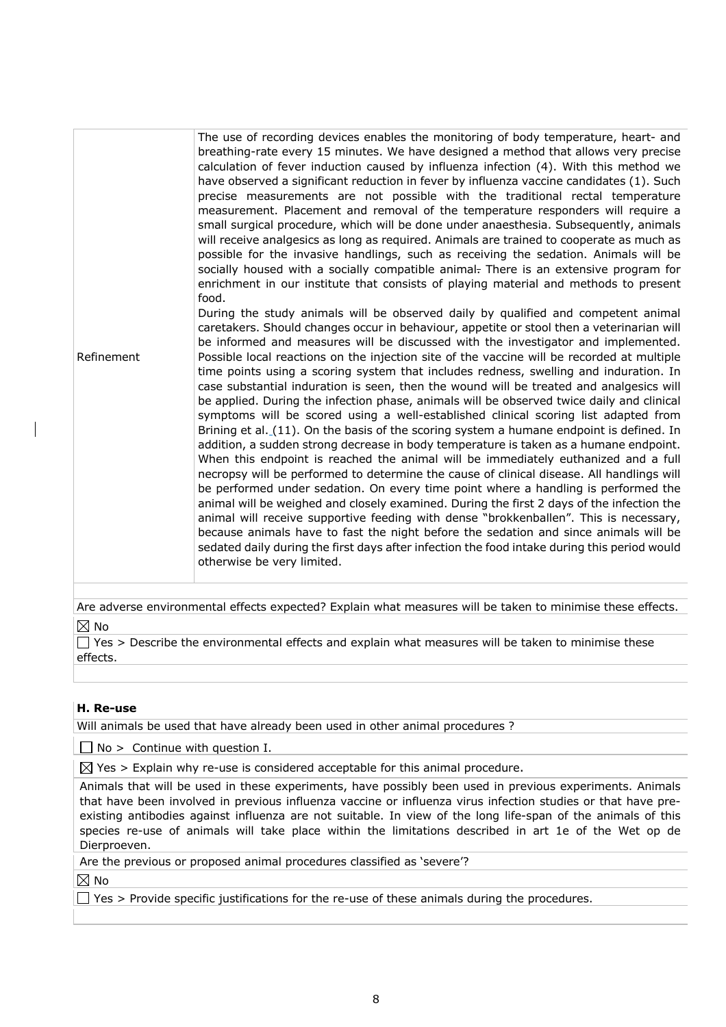Refinement The use of recording devices enables the monitoring of body temperature, heart- and breathing-rate every 15 minutes. We have designed a method that allows very precise calculation of fever induction caused by influenza infection (4). With this method we have observed a significant reduction in fever by influenza vaccine candidates (1). Such precise measurements are not possible with the traditional rectal temperature measurement. Placement and removal of the temperature responders will require a small surgical procedure, which will be done under anaesthesia. Subsequently, animals will receive analgesics as long as required. Animals are trained to cooperate as much as possible for the invasive handlings, such as receiving the sedation. Animals will be socially housed with a socially compatible animal. There is an extensive program for enrichment in our institute that consists of playing material and methods to present food. During the study animals will be observed daily by qualified and competent animal caretakers. Should changes occur in behaviour, appetite or stool then a veterinarian will be informed and measures will be discussed with the investigator and implemented. Possible local reactions on the injection site of the vaccine will be recorded at multiple time points using a scoring system that includes redness, swelling and induration. In case substantial induration is seen, then the wound will be treated and analgesics will be applied. During the infection phase, animals will be observed twice daily and clinical symptoms will be scored using a well-established clinical scoring list adapted from Brining et al. (11). On the basis of the scoring system a humane endpoint is defined. In addition, a sudden strong decrease in body temperature is taken as a humane endpoint. When this endpoint is reached the animal will be immediately euthanized and a full necropsy will be performed to determine the cause of clinical disease. All handlings will be performed under sedation. On every time point where a handling is performed the animal will be weighed and closely examined. During the first 2 days of the infection the animal will receive supportive feeding with dense "brokkenballen". This is necessary, because animals have to fast the night before the sedation and since animals will be sedated daily during the first days after infection the food intake during this period would otherwise be very limited.

Are adverse environmental effects expected? Explain what measures will be taken to minimise these effects.  $\boxtimes$  No

 $\Box$  Yes > Describe the environmental effects and explain what measures will be taken to minimise these effects.

## **H. Re-use**

Will animals be used that have already been used in other animal procedures ?

 $\Box$  No > Continue with question I.

 $\boxtimes$  Yes > Explain why re-use is considered acceptable for this animal procedure.

Animals that will be used in these experiments, have possibly been used in previous experiments. Animals that have been involved in previous influenza vaccine or influenza virus infection studies or that have preexisting antibodies against influenza are not suitable. In view of the long life-span of the animals of this species re-use of animals will take place within the limitations described in art 1e of the Wet op de Dierproeven.

Are the previous or proposed animal procedures classified as 'severe'?

 $\boxtimes$  No

 $\Box$  Yes > Provide specific justifications for the re-use of these animals during the procedures.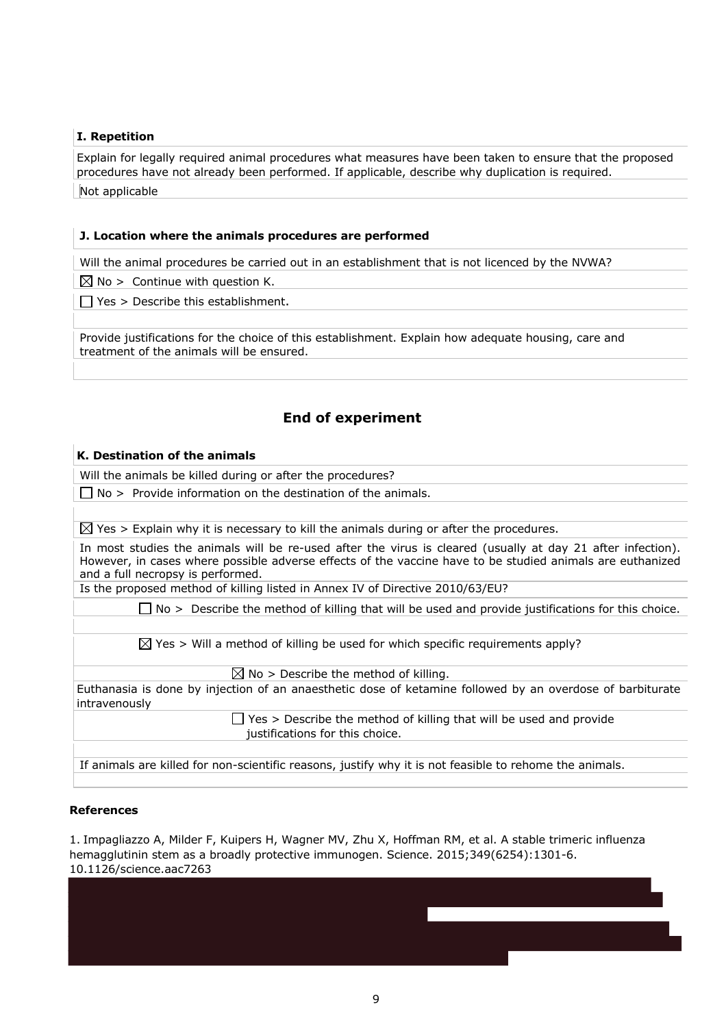# **I. Repetition**

Explain for legally required animal procedures what measures have been taken to ensure that the proposed procedures have not already been performed. If applicable, describe why duplication is required. Not applicable

#### **J. Location where the animals procedures are performed**

Will the animal procedures be carried out in an establishment that is not licenced by the NVWA?

 $\boxtimes$  No > Continue with question K.

 $\Box$  Yes > Describe this establishment.

Provide justifications for the choice of this establishment. Explain how adequate housing, care and treatment of the animals will be ensured.

# **End of experiment**

#### **K. Destination of the animals**

Will the animals be killed during or after the procedures?

 $\Box$  No > Provide information on the destination of the animals.

 $\boxtimes$  Yes > Explain why it is necessary to kill the animals during or after the procedures.

In most studies the animals will be re-used after the virus is cleared (usually at day 21 after infection). However, in cases where possible adverse effects of the vaccine have to be studied animals are euthanized and a full necropsy is performed.

Is the proposed method of killing listed in Annex IV of Directive 2010/63/EU?

 $\Box$  No > Describe the method of killing that will be used and provide justifications for this choice.

 $\boxtimes$  Yes > Will a method of killing be used for which specific requirements apply?

 $\boxtimes$  No > Describe the method of killing.

Euthanasia is done by injection of an anaesthetic dose of ketamine followed by an overdose of barbiturate intravenously

> $\Box$  Yes > Describe the method of killing that will be used and provide justifications for this choice.

If animals are killed for non-scientific reasons, justify why it is not feasible to rehome the animals.

#### **References**

1. Impagliazzo A, Milder F, Kuipers H, Wagner MV, Zhu X, Hoffman RM, et al. A stable trimeric influenza hemagglutinin stem as a broadly protective immunogen. Science. 2015;349(6254):1301-6. 10.1126/science.aac7263